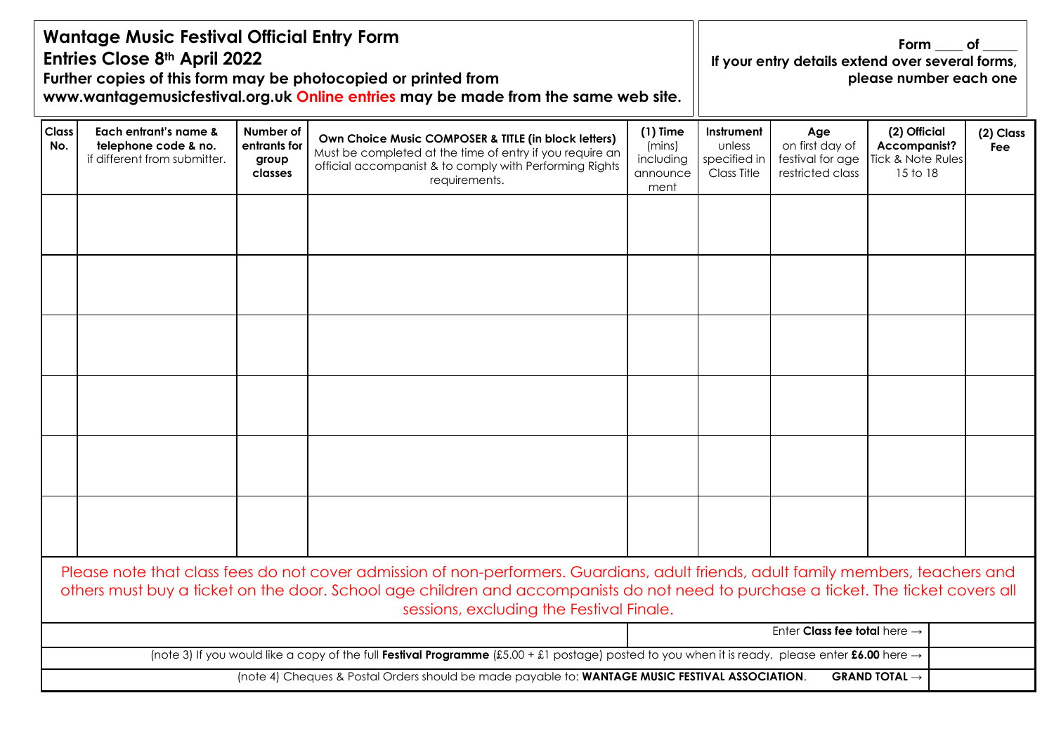| <b>Wantage Music Festival Official Entry Form</b><br>Entries Close 8th April 2022<br>Further copies of this form may be photocopied or printed from<br>www.wantagemusicfestival.org.uk Online entries may be made from the same web site. |                                                                               |                                               |                                                                                                                                                                                                                                                                                                                      |                                                       | Form $\rule{1em}{0.15mm}$ of $\rule{1em}{0.15mm}$<br>If your entry details extend over several forms,<br>please number each one |                                                                |                                                                      |                  |  |  |
|-------------------------------------------------------------------------------------------------------------------------------------------------------------------------------------------------------------------------------------------|-------------------------------------------------------------------------------|-----------------------------------------------|----------------------------------------------------------------------------------------------------------------------------------------------------------------------------------------------------------------------------------------------------------------------------------------------------------------------|-------------------------------------------------------|---------------------------------------------------------------------------------------------------------------------------------|----------------------------------------------------------------|----------------------------------------------------------------------|------------------|--|--|
| <b>Class</b><br>No.                                                                                                                                                                                                                       | Each entrant's name &<br>telephone code & no.<br>if different from submitter. | Number of<br>entrants for<br>group<br>classes | Own Choice Music COMPOSER & TITLE (in block letters)<br>Must be completed at the time of entry if you require an<br>official accompanist & to comply with Performing Rights<br>requirements.                                                                                                                         | $(1)$ Time<br>(mins)<br>including<br>announce<br>ment | Instrument<br>unless<br>specified in<br>Class Title                                                                             | Age<br>on first day of<br>festival for age<br>restricted class | (2) Official<br><b>Accompanist?</b><br>Tick & Note Rules<br>15 to 18 | (2) Class<br>Fee |  |  |
|                                                                                                                                                                                                                                           |                                                                               |                                               |                                                                                                                                                                                                                                                                                                                      |                                                       |                                                                                                                                 |                                                                |                                                                      |                  |  |  |
|                                                                                                                                                                                                                                           |                                                                               |                                               |                                                                                                                                                                                                                                                                                                                      |                                                       |                                                                                                                                 |                                                                |                                                                      |                  |  |  |
|                                                                                                                                                                                                                                           |                                                                               |                                               |                                                                                                                                                                                                                                                                                                                      |                                                       |                                                                                                                                 |                                                                |                                                                      |                  |  |  |
|                                                                                                                                                                                                                                           |                                                                               |                                               | Please note that class fees do not cover admission of non-performers. Guardians, adult friends, adult family members, teachers and<br>others must buy a ticket on the door. School age children and accompanists do not need to purchase a ticket. The ticket covers all<br>sessions, excluding the Festival Finale. |                                                       |                                                                                                                                 |                                                                |                                                                      |                  |  |  |
|                                                                                                                                                                                                                                           |                                                                               |                                               |                                                                                                                                                                                                                                                                                                                      |                                                       |                                                                                                                                 |                                                                | Enter Class fee total here $\rightarrow$                             |                  |  |  |
|                                                                                                                                                                                                                                           |                                                                               |                                               | (note 3) If you would like a copy of the full Festival Programme (£5.00 + £1 postage) posted to you when it is ready, please enter £6.00 here $\rightarrow$                                                                                                                                                          |                                                       |                                                                                                                                 |                                                                |                                                                      |                  |  |  |
|                                                                                                                                                                                                                                           |                                                                               |                                               | (note 4) Cheques & Postal Orders should be made payable to: WANTAGE MUSIC FESTIVAL ASSOCIATION.                                                                                                                                                                                                                      |                                                       |                                                                                                                                 |                                                                | <b>GRAND TOTAL <math>\rightarrow</math></b>                          |                  |  |  |